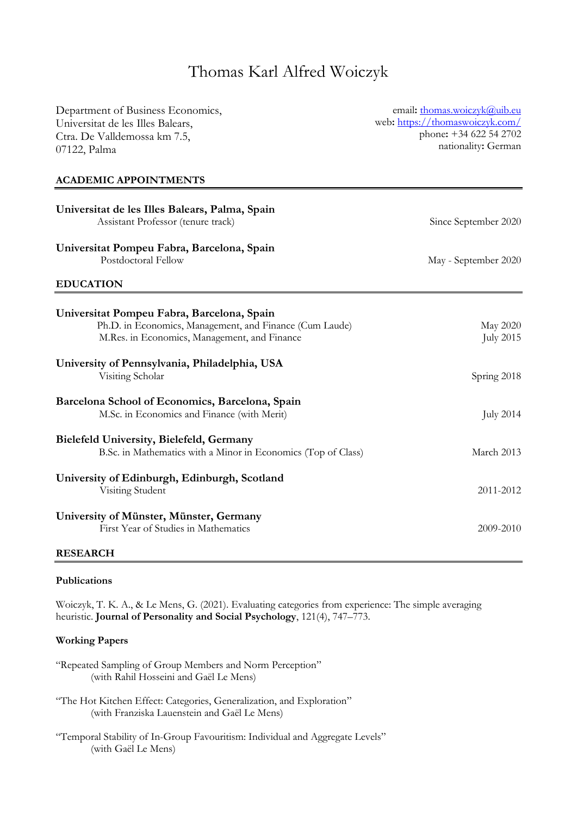# Thomas Karl Alfred Woiczyk

| Department of Business Economics,                             | email: thomas.woiczyk@uib.eu                  |
|---------------------------------------------------------------|-----------------------------------------------|
| Universitat de les Illes Balears,                             | web: https://thomaswoiczyk.com/               |
| Ctra. De Valldemossa km 7.5,                                  | phone: +34 622 54 2702<br>nationality: German |
| 07122, Palma                                                  |                                               |
| <b>ACADEMIC APPOINTMENTS</b>                                  |                                               |
| Universitat de les Illes Balears, Palma, Spain                |                                               |
| Assistant Professor (tenure track)                            | Since September 2020                          |
| Universitat Pompeu Fabra, Barcelona, Spain                    |                                               |
| Postdoctoral Fellow                                           | May - September 2020                          |
| <b>EDUCATION</b>                                              |                                               |
| Universitat Pompeu Fabra, Barcelona, Spain                    |                                               |
| Ph.D. in Economics, Management, and Finance (Cum Laude)       | May 2020                                      |
| M.Res. in Economics, Management, and Finance                  | <b>July 2015</b>                              |
| University of Pennsylvania, Philadelphia, USA                 |                                               |
| Visiting Scholar                                              | Spring 2018                                   |
| Barcelona School of Economics, Barcelona, Spain               |                                               |
| M.Sc. in Economics and Finance (with Merit)                   | <b>July 2014</b>                              |
| Bielefeld University, Bielefeld, Germany                      |                                               |
| B.Sc. in Mathematics with a Minor in Economics (Top of Class) | March 2013                                    |
| University of Edinburgh, Edinburgh, Scotland                  |                                               |
| Visiting Student                                              | 2011-2012                                     |
| University of Münster, Münster, Germany                       |                                               |
| First Year of Studies in Mathematics                          | 2009-2010                                     |

#### **RESEARCH**

### **Publications**

Woiczyk, T. K. A., & Le Mens, G. (2021). Evaluating categories from experience: The simple averaging heuristic. **Journal of Personality and Social Psychology**, 121(4), 747–773.

#### **Working Papers**

- "Repeated Sampling of Group Members and Norm Perception" (with Rahil Hosseini and Gaël Le Mens)
- "The Hot Kitchen Effect: Categories, Generalization, and Exploration" (with Franziska Lauenstein and Gaël Le Mens)
- "Temporal Stability of In-Group Favouritism: Individual and Aggregate Levels" (with Gaël Le Mens)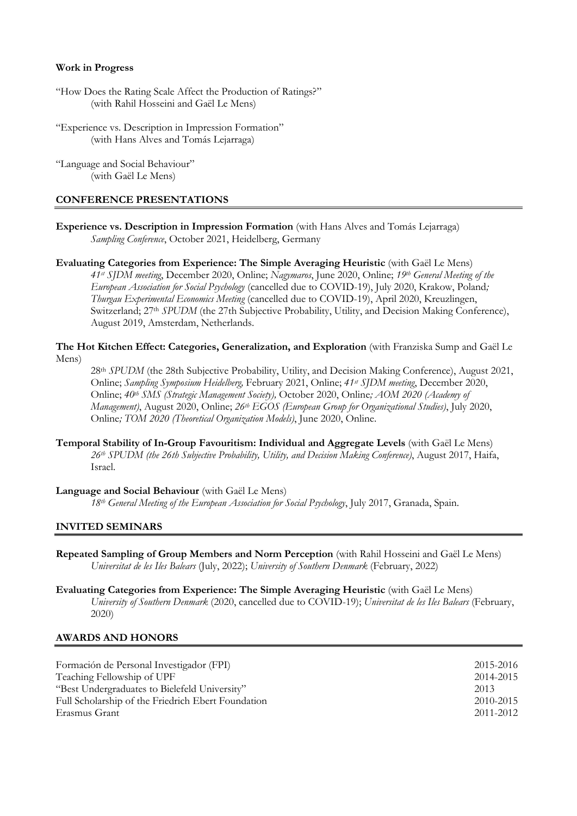#### **Work in Progress**

- "How Does the Rating Scale Affect the Production of Ratings?" (with Rahil Hosseini and Gaël Le Mens)
- "Experience vs. Description in Impression Formation" (with Hans Alves and Tomás Lejarraga)
- "Language and Social Behaviour" (with Gaël Le Mens)

#### **CONFERENCE PRESENTATIONS**

- **Experience vs. Description in Impression Formation** (with Hans Alves and Tomás Lejarraga) *Sampling Conference*, October 2021, Heidelberg, Germany
- **Evaluating Categories from Experience: The Simple Averaging Heuristic** (with Gaël Le Mens) *41st SJDM meeting*, December 2020, Online; *Nagymaros*, June 2020, Online; *19th General Meeting of the European Association for Social Psychology* (cancelled due to COVID-19), July 2020, Krakow, Poland*; Thurgau Experimental Economics Meeting* (cancelled due to COVID-19), April 2020, Kreuzlingen, Switzerland; 27<sup>th</sup> *SPUDM* (the 27th Subjective Probability, Utility, and Decision Making Conference), August 2019, Amsterdam, Netherlands.

**The Hot Kitchen Effect: Categories, Generalization, and Exploration** (with Franziska Sump and Gaël Le Mens)

28th *SPUDM* (the 28th Subjective Probability, Utility, and Decision Making Conference), August 2021, Online; *Sampling Symposium Heidelberg,* February 2021, Online; *41st SJDM meeting*, December 2020, Online; *40th SMS (Strategic Management Society),* October 2020, Online*; AOM 2020 (Academy of Management)*, August 2020, Online; *26th EGOS (European Group for Organizational Studies)*, July 2020, Online*; TOM 2020 (Theoretical Organization Models)*, June 2020, Online.

**Temporal Stability of In-Group Favouritism: Individual and Aggregate Levels** (with Gaël Le Mens) *26th SPUDM (the 26th Subjective Probability, Utility, and Decision Making Conference)*, August 2017, Haifa, Israel.

#### **Language and Social Behaviour** (with Gaël Le Mens)

*18th General Meeting of the European Association for Social Psychology*, July 2017, Granada, Spain.

## **INVITED SEMINARS**

- **Repeated Sampling of Group Members and Norm Perception** (with Rahil Hosseini and Gaël Le Mens) *Universitat de les Iles Balears* (July, 2022); *University of Southern Denmark* (February, 2022)
- **Evaluating Categories from Experience: The Simple Averaging Heuristic** (with Gaël Le Mens) *University of Southern Denmark* (2020, cancelled due to COVID-19); *Universitat de les Iles Balears* (February, 2020)

#### **AWARDS AND HONORS**

| Formación de Personal Investigador (FPI)           | 2015-2016 |
|----------------------------------------------------|-----------|
| Teaching Fellowship of UPF                         | 2014-2015 |
| "Best Undergraduates to Bielefeld University"      | 2013      |
| Full Scholarship of the Friedrich Ebert Foundation | 2010-2015 |
| Erasmus Grant                                      | 2011-2012 |